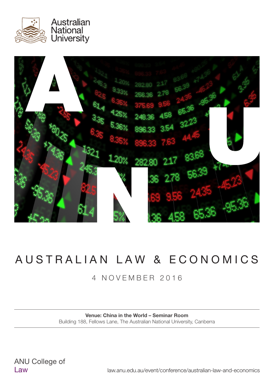



# AUSTRALIAN LAW & ECONOMICS

### 4 NOVEMBER 2016

#### Venue: China in the World – Seminar Room Building 188, Fellows Lane, The Australian National University, Canberra

law.anu.edu.au/event/conference/australian-law-and-economics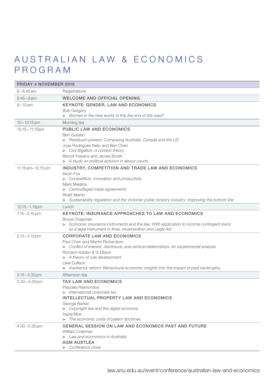### AUSTRALIAN LAW & ECONOMICS PROGRAM

| <b>FRIDAY 4 NOVEMBER 2016</b> |                                                                                                                                                                                                                                                                                                                                           |
|-------------------------------|-------------------------------------------------------------------------------------------------------------------------------------------------------------------------------------------------------------------------------------------------------------------------------------------------------------------------------------------|
| $8 - 8.45$ am                 | Registrations                                                                                                                                                                                                                                                                                                                             |
| $8.45 - 9$ am                 | <b>WELCOME AND OFFICIAL OPENING</b>                                                                                                                                                                                                                                                                                                       |
| $9 - 10$ am                   | <b>KEYNOTE: GENDER, LAW AND ECONOMICS</b><br><b>Bob Gregory</b><br>> Women in the new world: Is this the end of the road?                                                                                                                                                                                                                 |
| $10 - 10.15$ am               | Morning tea                                                                                                                                                                                                                                                                                                                               |
| $10.15 - 11.15$ am            | <b>PUBLIC LAW AND ECONOMICS</b><br><b>Ben Gussen</b><br>> Residuum powers: Comparing Australia, Canada and the US<br>Jose Rodrigues Neto and Ben Chen<br>> Civil litigation: A contest theory<br>Benoit Freyens and James Booth<br>> A study on political activism in labour courts                                                       |
| $11.15$ am $-12.15$ pm        | INDUSTRY, COMPETITION AND TRADE LAW AND ECONOMICS<br>Kevin Fox<br>> Competition, innovation and productivity<br><b>Mark Melatos</b><br>> Camouflaged trade agreements<br><b>Rhett Martin</b><br>> Sustainability regulation and the Victorian public forestry industry: Improving the bottom line                                         |
| $12.15 - 1.15$ pm             | Lunch                                                                                                                                                                                                                                                                                                                                     |
| $1.15 - 2.15$ pm              | <b>KEYNOTE: INSURANCE APPROACHES TO LAW AND ECONOMICS</b><br><b>Bruce Chapman</b><br>> Economic insurance instruments and the law: With application to income contingent loans<br>as a legal instrument in fines, incarceration and Legal Aid                                                                                             |
| $2.15 - 3.15$ pm              | <b>CORPORATE LAW AND ECONOMICS</b><br>Paul Chen and Martin Richardson<br>> Conflict of interest, disclosure, and vertical relationships: An experimental analysis<br>Richard Holden & G Ellison<br>> A theory of rule development<br>Uwe Dulleck<br>> Insolvency reform: Behavioural economic insights into the impact of past bankruptcy |
| $3.15 - 3.30$ pm              | Afternoon tea                                                                                                                                                                                                                                                                                                                             |
| $3.30 - 4.30$ pm              | <b>TAX LAW AND ECONOMICS</b><br>Pascalis Raimondos<br>> International corporate tax<br>INTELLECTUAL PROPERTY LAW AND ECONOMICS<br>George Barker<br>> Copyright law and the digital economy<br>Hazel Moir<br>> The economic costs of patent doctrines                                                                                      |
| $4.30 - 5.30$ pm              | <b>GENERAL SESSION ON LAW AND ECONOMICS PAST AND FUTURE</b><br>William Coleman<br>> Law and economics in Australia<br><b>AGM AUSTLEA</b><br>> Conference close                                                                                                                                                                            |